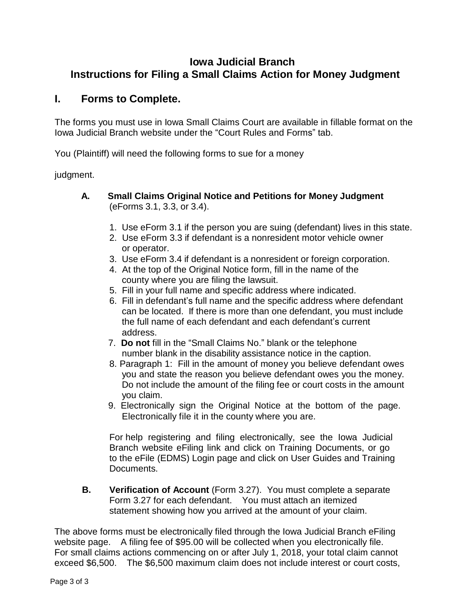## **Iowa Judicial Branch Instructions for Filing a Small Claims Action for Money Judgment**

## **I. Forms to Complete.**

The forms you must use in Iowa Small Claims Court are available in fillable format on the Iowa Judicial Branch website under the "Court Rules and Forms" tab.

You (Plaintiff) will need the following forms to sue for a money

judgment.

- **A. Small Claims Original Notice and Petitions for Money Judgment** (eForms 3.1, 3.3, or 3.4).
	- 1. Use eForm 3.1 if the person you are suing (defendant) lives in this state.
	- 2. Use eForm 3.3 if defendant is a nonresident motor vehicle owner or operator.
	- 3. Use eForm 3.4 if defendant is a nonresident or foreign corporation.
	- 4. At the top of the Original Notice form, fill in the name of the county where you are filing the lawsuit.
	- 5. Fill in your full name and specific address where indicated.
	- 6. Fill in defendant's full name and the specific address where defendant can be located. If there is more than one defendant, you must include the full name of each defendant and each defendant's current address.
	- 7. **Do not** fill in the "Small Claims No." blank or the telephone number blank in the disability assistance notice in the caption.
	- 8. Paragraph 1: Fill in the amount of money you believe defendant owes you and state the reason you believe defendant owes you the money. Do not include the amount of the filing fee or court costs in the amount you claim.
	- 9. Electronically sign the Original Notice at the bottom of the page. Electronically file it in the county where you are.

For help registering and filing electronically, see the Iowa Judicial Branch website eFiling link and click on Training Documents, or go to the eFile (EDMS) Login page and click on User Guides and Training Documents.

**B. Verification of Account** (Form 3.27). You must complete a separate Form 3.27 for each defendant. You must attach an itemized statement showing how you arrived at the amount of your claim.

The above forms must be electronically filed through the Iowa Judicial Branch eFiling website page. A filing fee of \$95.00 will be collected when you electronically file. For small claims actions commencing on or after July 1, 2018, your total claim cannot exceed \$6,500. The \$6,500 maximum claim does not include interest or court costs,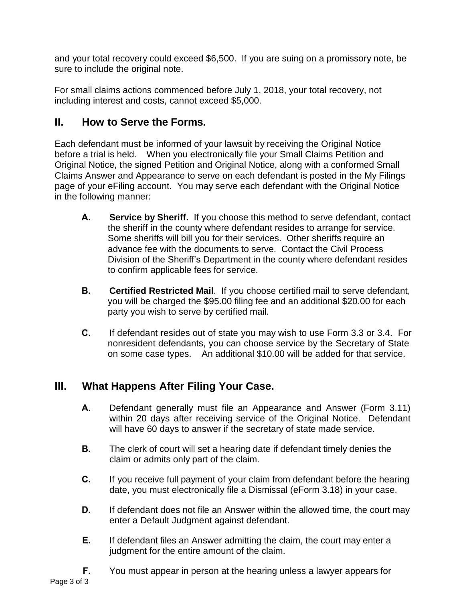and your total recovery could exceed \$6,500. If you are suing on a promissory note, be sure to include the original note.

For small claims actions commenced before July 1, 2018, your total recovery, not including interest and costs, cannot exceed \$5,000.

## **II. How to Serve the Forms.**

Each defendant must be informed of your lawsuit by receiving the Original Notice before a trial is held. When you electronically file your Small Claims Petition and Original Notice, the signed Petition and Original Notice, along with a conformed Small Claims Answer and Appearance to serve on each defendant is posted in the My Filings page of your eFiling account. You may serve each defendant with the Original Notice in the following manner:

- **A. Service by Sheriff.** If you choose this method to serve defendant, contact the sheriff in the county where defendant resides to arrange for service. Some sheriffs will bill you for their services. Other sheriffs require an advance fee with the documents to serve. Contact the Civil Process Division of the Sheriff's Department in the county where defendant resides to confirm applicable fees for service.
- **B. Certified Restricted Mail**. If you choose certified mail to serve defendant, you will be charged the \$95.00 filing fee and an additional \$20.00 for each party you wish to serve by certified mail.
- **C.** If defendant resides out of state you may wish to use Form 3.3 or 3.4. For nonresident defendants, you can choose service by the Secretary of State on some case types. An additional \$10.00 will be added for that service.

## **III. What Happens After Filing Your Case.**

- **A.** Defendant generally must file an Appearance and Answer (Form 3.11) within 20 days after receiving service of the Original Notice. Defendant will have 60 days to answer if the secretary of state made service.
- **B.** The clerk of court will set a hearing date if defendant timely denies the claim or admits only part of the claim.
- **C.** If you receive full payment of your claim from defendant before the hearing date, you must electronically file a Dismissal (eForm 3.18) in your case.
- **D.** If defendant does not file an Answer within the allowed time, the court may enter a Default Judgment against defendant.
- **E.** If defendant files an Answer admitting the claim, the court may enter a judgment for the entire amount of the claim.
- **F.** You must appear in person at the hearing unless a lawyer appears for